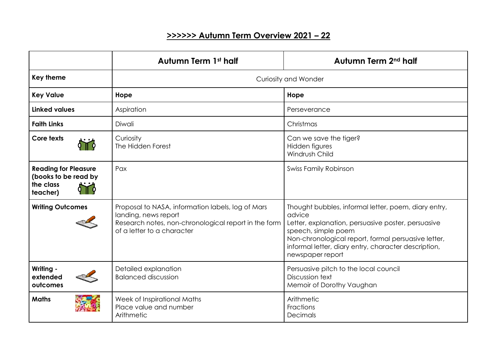## **>>>>>> Autumn Term Overview 2021 – 22**

|                                                                              | <b>Autumn Term 1st half</b>                                                                                                                                     | Autumn Term 2 <sup>nd</sup> half                                                                                                                                                                                                                                               |
|------------------------------------------------------------------------------|-----------------------------------------------------------------------------------------------------------------------------------------------------------------|--------------------------------------------------------------------------------------------------------------------------------------------------------------------------------------------------------------------------------------------------------------------------------|
| <b>Key theme</b>                                                             | <b>Curiosity and Wonder</b>                                                                                                                                     |                                                                                                                                                                                                                                                                                |
| <b>Key Value</b>                                                             | Hope                                                                                                                                                            | Hope                                                                                                                                                                                                                                                                           |
| Linked values                                                                | Aspiration                                                                                                                                                      | Perseverance                                                                                                                                                                                                                                                                   |
| <b>Faith Links</b>                                                           | Diwali                                                                                                                                                          | Christmas                                                                                                                                                                                                                                                                      |
| Core texts                                                                   | Curiosity<br>The Hidden Forest                                                                                                                                  | Can we save the tiger?<br>Hidden figures<br>Windrush Child                                                                                                                                                                                                                     |
| <b>Reading for Pleasure</b><br>(books to be read by<br>the class<br>teacher) | Pax                                                                                                                                                             | <b>Swiss Family Robinson</b>                                                                                                                                                                                                                                                   |
| <b>Writing Outcomes</b>                                                      | Proposal to NASA, information labels, log of Mars<br>landing, news report<br>Research notes, non-chronological report in the form<br>of a letter to a character | Thought bubbles, informal letter, poem, diary entry,<br>advice<br>Letter, explanation, persuasive poster, persuasive<br>speech, simple poem<br>Non-chronological report, formal persuasive letter,<br>informal letter, diary entry, character description,<br>newspaper report |
| Writing -<br>extended<br>outcomes                                            | Detailed explanation<br><b>Balanced discussion</b>                                                                                                              | Persuasive pitch to the local council<br>Discussion text<br>Memoir of Dorothy Vaughan                                                                                                                                                                                          |
| <b>Maths</b>                                                                 | Week of Inspirational Maths<br>Place value and number<br>Arithmetic                                                                                             | Arithmetic<br>Fractions<br>Decimals                                                                                                                                                                                                                                            |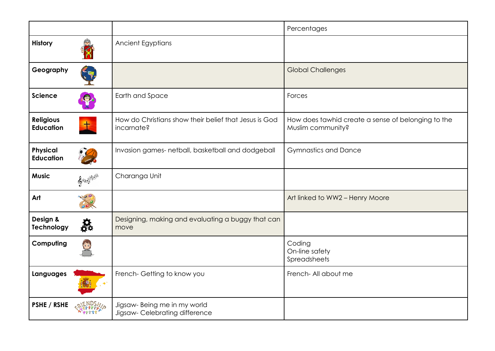|                                      |               |                                                                     | Percentages                                                             |
|--------------------------------------|---------------|---------------------------------------------------------------------|-------------------------------------------------------------------------|
| History                              |               | Ancient Egyptians                                                   |                                                                         |
| Geography                            |               |                                                                     | <b>Global Challenges</b>                                                |
| <b>Science</b>                       |               | Earth and Space                                                     | Forces                                                                  |
| <b>Religious</b><br><b>Education</b> | $+$           | How do Christians show their belief that Jesus is God<br>incarnate? | How does tawhid create a sense of belonging to the<br>Muslim community? |
| <b>Physical</b><br><b>Education</b>  |               | Invasion games- netball, basketball and dodgeball                   | <b>Gymnastics and Dance</b>                                             |
| <b>Music</b>                         | $\mathcal{E}$ | Charanga Unit                                                       |                                                                         |
| Art                                  |               |                                                                     | Art linked to WW2 - Henry Moore                                         |
| Design &<br><b>Technology</b>        | Ŗ.            | Designing, making and evaluating a buggy that can<br>move           |                                                                         |
| Computing                            |               |                                                                     | Coding<br>On-line safety<br>Spreadsheets                                |
| Languages                            |               | French-Getting to know you                                          | French- All about me                                                    |
| PSHE / RSHE                          |               | Jigsaw- Being me in my world<br>Jigsaw-Celebrating difference       |                                                                         |